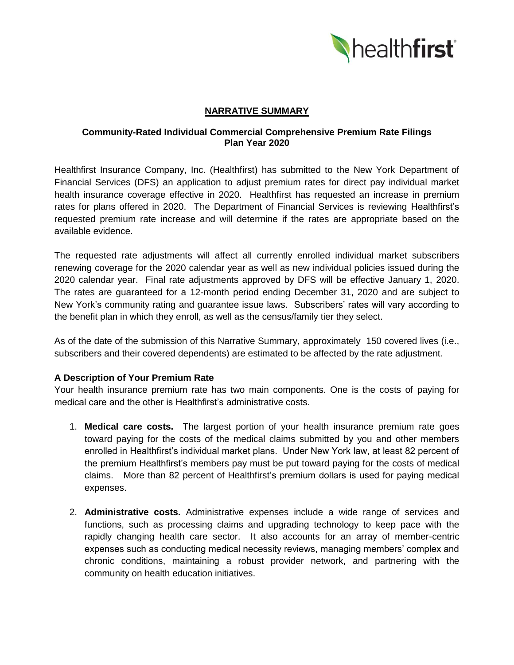

# **NARRATIVE SUMMARY**

### **Community-Rated Individual Commercial Comprehensive Premium Rate Filings Plan Year 2020**

Healthfirst Insurance Company, Inc. (Healthfirst) has submitted to the New York Department of Financial Services (DFS) an application to adjust premium rates for direct pay individual market health insurance coverage effective in 2020. Healthfirst has requested an increase in premium rates for plans offered in 2020. The Department of Financial Services is reviewing Healthfirst's requested premium rate increase and will determine if the rates are appropriate based on the available evidence.

The requested rate adjustments will affect all currently enrolled individual market subscribers renewing coverage for the 2020 calendar year as well as new individual policies issued during the 2020 calendar year. Final rate adjustments approved by DFS will be effective January 1, 2020. The rates are guaranteed for a 12-month period ending December 31, 2020 and are subject to New York's community rating and guarantee issue laws. Subscribers' rates will vary according to the benefit plan in which they enroll, as well as the census/family tier they select.

As of the date of the submission of this Narrative Summary, approximately 150 covered lives (i.e., subscribers and their covered dependents) are estimated to be affected by the rate adjustment.

# **A Description of Your Premium Rate**

Your health insurance premium rate has two main components. One is the costs of paying for medical care and the other is Healthfirst's administrative costs.

- 1. **Medical care costs.** The largest portion of your health insurance premium rate goes toward paying for the costs of the medical claims submitted by you and other members enrolled in Healthfirst's individual market plans. Under New York law, at least 82 percent of the premium Healthfirst's members pay must be put toward paying for the costs of medical claims. More than 82 percent of Healthfirst's premium dollars is used for paying medical expenses.
- 2. **Administrative costs.** Administrative expenses include a wide range of services and functions, such as processing claims and upgrading technology to keep pace with the rapidly changing health care sector. It also accounts for an array of member-centric expenses such as conducting medical necessity reviews, managing members' complex and chronic conditions, maintaining a robust provider network, and partnering with the community on health education initiatives.